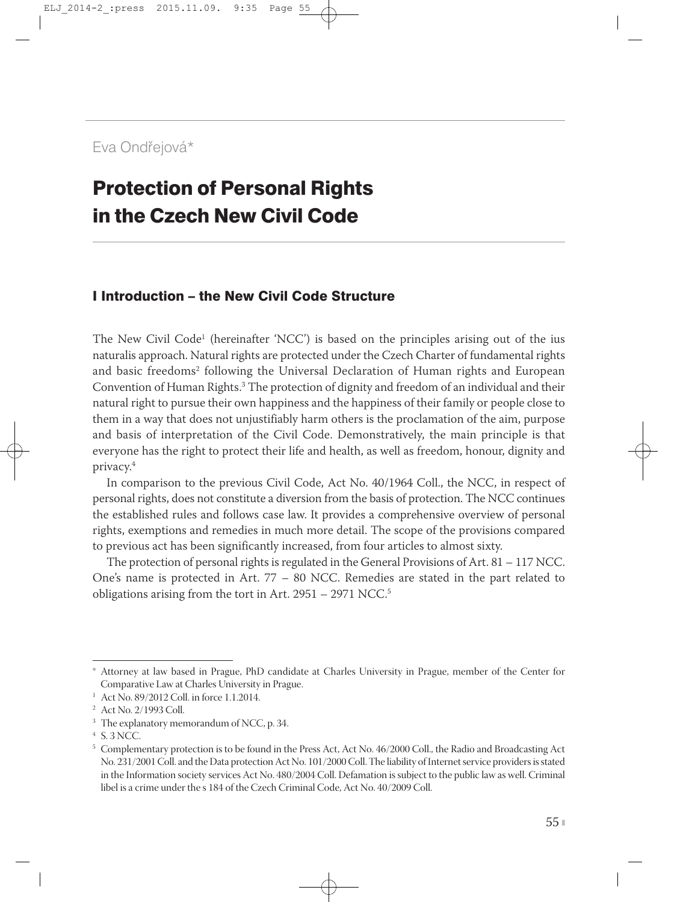# Eva Ondřejová\*

# Protection of Personal Rights in the Czech New Civil Code

### I Introduction — the New Civil Code Structure

The New Civil Code<sup>1</sup> (hereinafter 'NCC') is based on the principles arising out of the ius naturalis approach. Natural rights are protected under the Czech Charter of fundamental rights and basic freedoms<sup>2</sup> following the Universal Declaration of Human rights and European Convention of Human Rights.<sup>3</sup> The protection of dignity and freedom of an individual and their natural right to pursue their own happiness and the happiness of their family or people close to them in a way that does not unjustifiably harm others is the proclamation of the aim, purpose and basis of interpretation of the Civil Code. Demonstratively, the main principle is that everyone has the right to protect their life and health, as well as freedom, honour, dignity and privacy.4

In comparison to the previous Civil Code, Act No. 40/1964 Coll., the NCC, in respect of personal rights, does not constitute a diversion from the basis of protection. The NCC continues the established rules and follows case law. It provides a comprehensive overview of personal rights, exemptions and remedies in much more detail. The scope of the provisions compared to previous act has been significantly increased, from four articles to almost sixty.

The protection of personal rights is regulated in the General Provisions of Art. 81 – 117 NCC. One's name is protected in Art. 77 – 80 NCC. Remedies are stated in the part related to obligations arising from the tort in Art. 2951 – 2971 NCC.5

<sup>\*</sup> Attorney at law based in Prague, PhD candidate at Charles University in Prague, member of the Center for Comparative Law at Charles University in Prague.

<sup>&</sup>lt;sup>1</sup> Act No. 89/2012 Coll. in force 1.1.2014.

<sup>2</sup> Act No. 2/1993 Coll.

<sup>&</sup>lt;sup>3</sup> The explanatory memorandum of NCC, p. 34.

<sup>4</sup> S. 3 NCC.

<sup>5</sup> Complementary protection is to be found in the Press Act, Act No. 46/2000 Coll., the Radio and Broadcasting Act No. 231/2001 Coll. and the Data protection Act No. 101/2000 Coll. The liability of Internet service providers is stated in the Information society services Act No. 480/2004 Coll. Defamation is subject to the public law as well. Criminal libel is a crime under the s 184 of the Czech Criminal Code, Act No. 40/2009 Coll.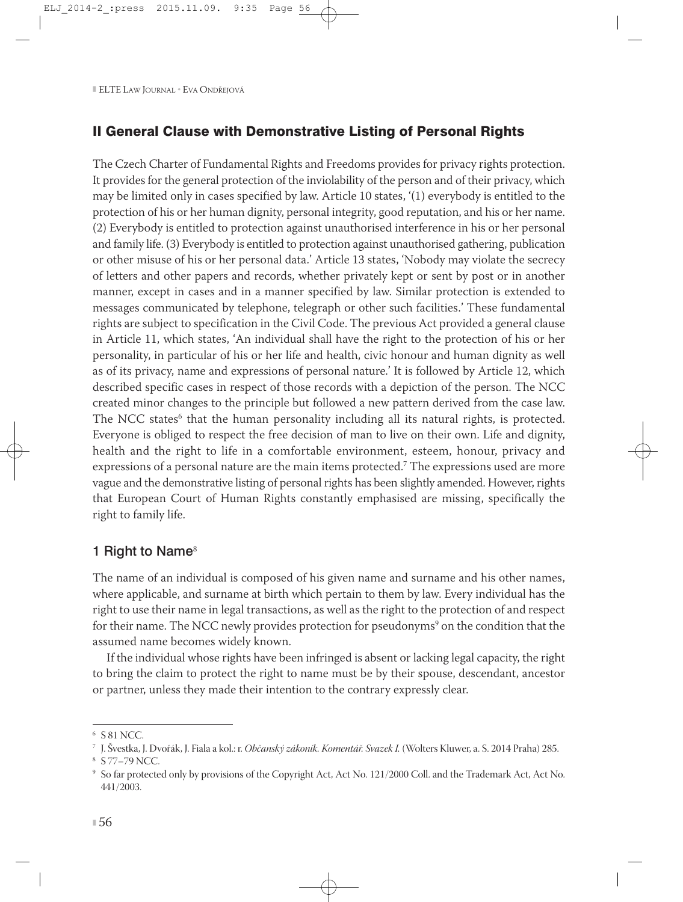# II General Clause with Demonstrative Listing of Personal Rights

The Czech Charter of Fundamental Rights and Freedoms provides for privacy rights protection. It provides for the general protection of the inviolability of the person and of their privacy, which may be limited only in cases specified by law. Article 10 states, '(1) everybody is entitled to the protection of his or her human dignity, personal integrity, good reputation, and his or her name. (2) Everybody is entitled to protection against unauthorised interference in his or her personal and family life. (3) Everybody is entitled to protection against unauthorised gathering, publication or other misuse of his or her personal data.' Article 13 states, 'Nobody may violate the secrecy of letters and other papers and records, whether privately kept or sent by post or in another manner, except in cases and in a manner specified by law. Similar protection is extended to messages communicated by telephone, telegraph or other such facilities.' These fundamental rights are subject to specification in the Civil Code. The previous Act provided a general clause in Article 11, which states, 'An individual shall have the right to the protection of his or her personality, in particular of his or her life and health, civic honour and human dignity as well as of its privacy, name and expressions of personal nature.' It is followed by Article 12, which described specific cases in respect of those records with a depiction of the person. The NCC created minor changes to the principle but followed a new pattern derived from the case law. The NCC states<sup>6</sup> that the human personality including all its natural rights, is protected. Everyone is obliged to respect the free decision of man to live on their own. Life and dignity, health and the right to life in a comfortable environment, esteem, honour, privacy and expressions of a personal nature are the main items protected.<sup>7</sup> The expressions used are more vague and the demonstrative listing of personal rights has been slightly amended. However, rights that European Court of Human Rights constantly emphasised are missing, specifically the right to family life.

## 1 Right to Name<sup>8</sup>

The name of an individual is composed of his given name and surname and his other names, where applicable, and surname at birth which pertain to them by law. Every individual has the right to use their name in legal transactions, as well as the right to the protection of and respect for their name. The NCC newly provides protection for pseudonyms<sup>9</sup> on the condition that the assumed name becomes widely known.

If the individual whose rights have been infringed is absent or lacking legal capacity, the right to bring the claim to protect the right to name must be by their spouse, descendant, ancestor or partner, unless they made their intention to the contrary expressly clear.

<sup>6</sup> S 81 NCC.

<sup>7</sup> J. Švestka, J. Dvořák, J. Fiala a kol.: r. *Občanský zákoník. Komentář. Svazek I.* (Wolters Kluwer, a. S. 2014 Praha) 285.

<sup>8</sup> S 77–79 NCC.

<sup>9</sup> So far protected only by provisions of the Copyright Act, Act No. 121/2000 Coll. and the Trademark Act, Act No. 441/2003.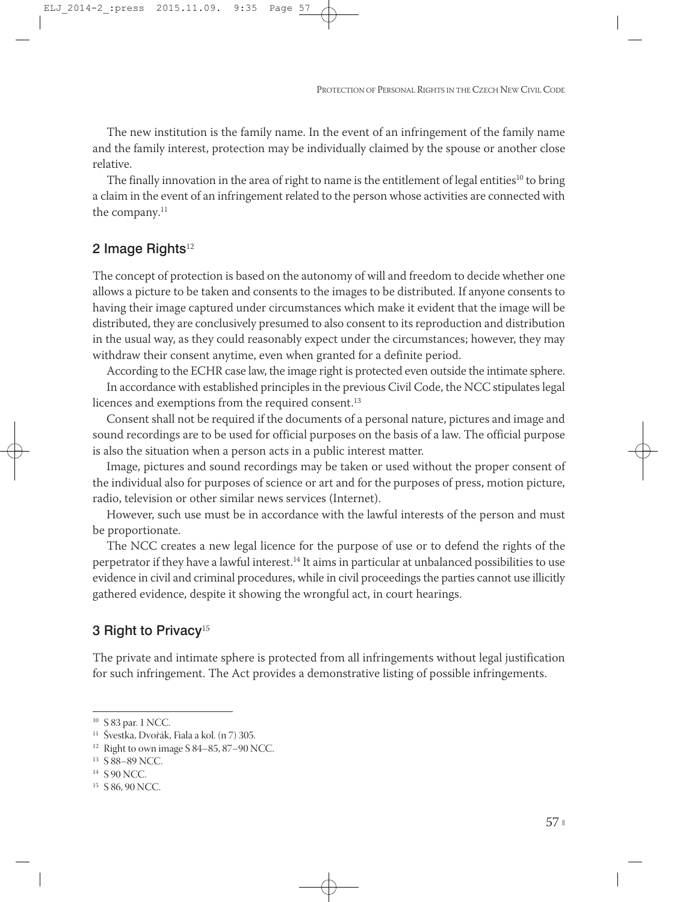The new institution is the family name. In the event of an infringement of the family name and the family interest, protection may be individually claimed by the spouse or another close relative.

The finally innovation in the area of right to name is the entitlement of legal entities<sup>10</sup> to bring a claim in the event of an infringement related to the person whose activities are connected with the company.<sup>11</sup>

### 2 Image Rights $12$

The concept of protection is based on the autonomy of will and freedom to decide whether one allows a picture to be taken and consents to the images to be distributed. If anyone consents to having their image captured under circumstances which make it evident that the image will be distributed, they are conclusively presumed to also consent to its reproduction and distribution in the usual way, as they could reasonably expect under the circumstances; however, they may withdraw their consent anytime, even when granted for a definite period.

According to the ECHR case law, the image right is protected even outside the intimate sphere.

In accordance with established principles in the previous Civil Code, the NCC stipulates legal licences and exemptions from the required consent.<sup>13</sup>

Consent shall not be required if the documents of a personal nature, pictures and image and sound recordings are to be used for official purposes on the basis of a law. The official purpose is also the situation when a person acts in a public interest matter.

Image, pictures and sound recordings may be taken or used without the proper consent of the individual also for purposes of science or art and for the purposes of press, motion picture, radio, television or other similar news services (Internet).

However, such use must be in accordance with the lawful interests of the person and must be proportionate.

The NCC creates a new legal licence for the purpose of use or to defend the rights of the perpetrator if they have a lawful interest.14 It aims in particular at unbalanced possibilities to use evidence in civil and criminal procedures, while in civil proceedings the parties cannot use illicitly gathered evidence, despite it showing the wrongful act, in court hearings.

#### 3 Right to Privacy<sup>15</sup>

The private and intimate sphere is protected from all infringements without legal justification for such infringement. The Act provides a demonstrative listing of possible infringements.

<sup>10</sup> S 83 par. 1 NCC.

<sup>11</sup> Švestka, Dvořák, Fiala a kol. (n 7) 305.

<sup>&</sup>lt;sup>12</sup> Right to own image S 84–85, 87–90 NCC.

<sup>13</sup> S 88–89 NCC.

<sup>14</sup> S 90 NCC.

<sup>15</sup> S 86, 90 NCC.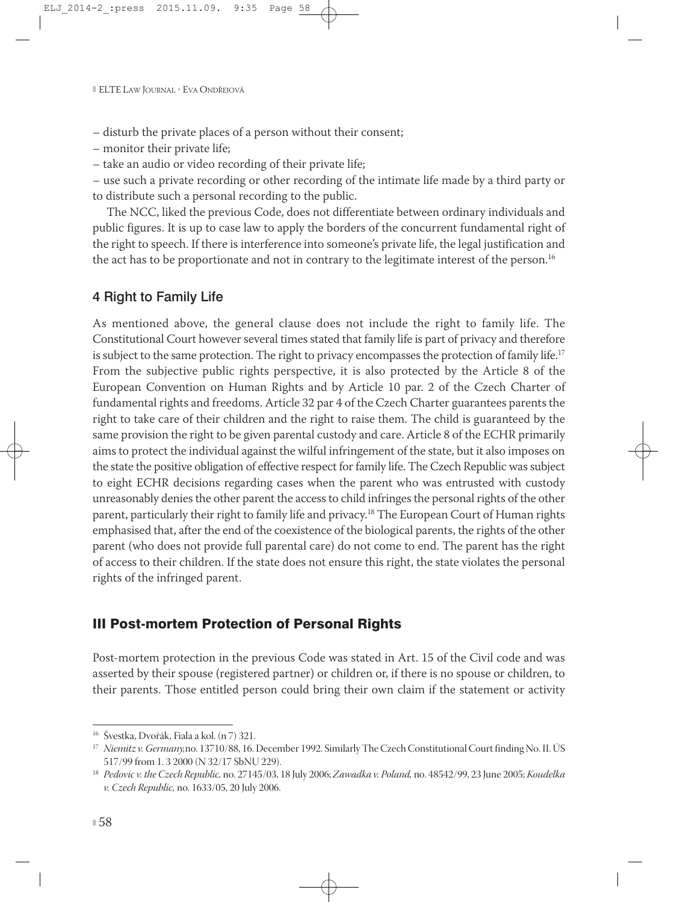– disturb the private places of a person without their consent;

– monitor their private life;

– take an audio or video recording of their private life;

– use such a private recording or other recording of the intimate life made by a third party or to distribute such a personal recording to the public.

The NCC, liked the previous Code, does not differentiate between ordinary individuals and public figures. It is up to case law to apply the borders of the concurrent fundamental right of the right to speech. If there is interference into someone's private life, the legal justification and the act has to be proportionate and not in contrary to the legitimate interest of the person.<sup>16</sup>

# 4 Right to Family Life

As mentioned above, the general clause does not include the right to family life. The Constitutional Court however several times stated that family life is part of privacy and therefore is subject to the same protection. The right to privacy encompasses the protection of family life.<sup>17</sup> From the subjective public rights perspective, it is also protected by the Article 8 of the European Convention on Human Rights and by Article 10 par. 2 of the Czech Charter of fundamental rights and freedoms. Article 32 par 4 of the Czech Charter guarantees parents the right to take care of their children and the right to raise them. The child is guaranteed by the same provision the right to be given parental custody and care. Article 8 of the ECHR primarily aims to protect the individual against the wilful infringement of the state, but it also imposes on the state the positive obligation of effective respect for family life. The Czech Republic was subject to eight ECHR decisions regarding cases when the parent who was entrusted with custody unreasonably denies the other parent the access to child infringes the personal rights of the other parent, particularly their right to family life and privacy.18 The European Court of Human rights emphasised that, after the end of the coexistence of the biological parents, the rights of the other parent (who does not provide full parental care) do not come to end. The parent has the right of access to their children. If the state does not ensure this right, the state violates the personal rights of the infringed parent.

## III Post-mortem Protection of Personal Rights

Post-mortem protection in the previous Code was stated in Art. 15 of the Civil code and was asserted by their spouse (registered partner) or children or, if there is no spouse or children, to their parents. Those entitled person could bring their own claim if the statement or activity

<sup>16</sup> Švestka, Dvořák, Fiala a kol. (n 7) 321.

<sup>17</sup> *Niemitz v. Germany,*no. 13710/88, 16. December 1992. Similarly The Czech Constitutional Court finding No. II. ÚS 517/99 from 1. 3 2000 (N 32/17 SbNU 229).

<sup>18</sup> *Pedovic v. the Czech Republic,* no. 27145/03, 18 July 2006; *Zawadka v. Poland,* no. 48542/99, 23 June 2005; *Koudelka v. Czech Republic,* no. 1633/05, 20 July 2006.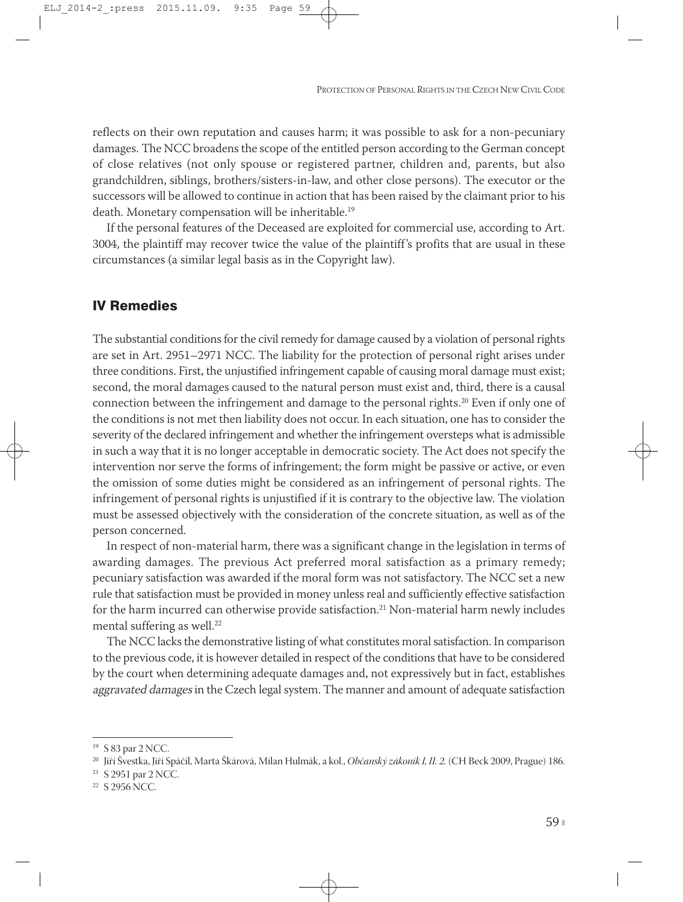reflects on their own reputation and causes harm; it was possible to ask for a non-pecuniary damages. The NCC broadens the scope of the entitled person according to the German concept of close relatives (not only spouse or registered partner, children and, parents, but also grandchildren, siblings, brothers/sisters-in-law, and other close persons). The executor or the successors will be allowed to continue in action that has been raised by the claimant prior to his death. Monetary compensation will be inheritable.<sup>19</sup>

If the personal features of the Deceased are exploited for commercial use, according to Art. 3004, the plaintiff may recover twice the value of the plaintiff's profits that are usual in these circumstances (a similar legal basis as in the Copyright law).

#### IV Remedies

The substantial conditions for the civil remedy for damage caused by a violation of personal rights are set in Art. 2951–2971 NCC. The liability for the protection of personal right arises under three conditions. First, the unjustified infringement capable of causing moral damage must exist; second, the moral damages caused to the natural person must exist and, third, there is a causal connection between the infringement and damage to the personal rights.20 Even if only one of the conditions is not met then liability does not occur. In each situation, one has to consider the severity of the declared infringement and whether the infringement oversteps what is admissible in such a way that it is no longer acceptable in democratic society. The Act does not specify the intervention nor serve the forms of infringement; the form might be passive or active, or even the omission of some duties might be considered as an infringement of personal rights. The infringement of personal rights is unjustified if it is contrary to the objective law. The violation must be assessed objectively with the consideration of the concrete situation, as well as of the person concerned.

In respect of non-material harm, there was a significant change in the legislation in terms of awarding damages. The previous Act preferred moral satisfaction as a primary remedy; pecuniary satisfaction was awarded if the moral form was not satisfactory. The NCC set a new rule that satisfaction must be provided in money unless real and sufficiently effective satisfaction for the harm incurred can otherwise provide satisfaction.<sup>21</sup> Non-material harm newly includes mental suffering as well.<sup>22</sup>

The NCC lacks the demonstrative listing of what constitutes moral satisfaction. In comparison to the previous code, it is however detailed in respect of the conditions that have to be considered by the court when determining adequate damages and, not expressively but in fact, establishes aggravated damages in the Czech legal system. The manner and amount of adequate satisfaction

<sup>19</sup> S 83 par 2 NCC.

<sup>20</sup> Jiří Švestka, Jiří Spáčil, Marta Škárová, Milan Hulmák, a kol., *Občanský zákoník I, II. 2.* (CH Beck 2009, Prague) 186.

<sup>21</sup> S 2951 par 2 NCC.

<sup>22</sup> S 2956 NCC.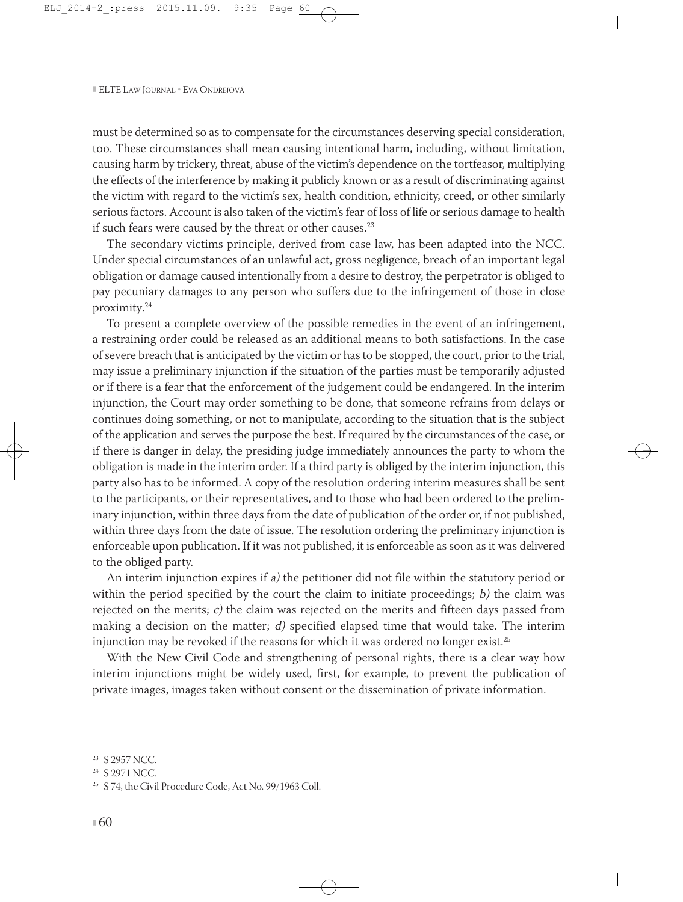must be determined so as to compensate for the circumstances deserving special consideration, too. These circumstances shall mean causing intentional harm, including, without limitation, causing harm by trickery, threat, abuse of the victim's dependence on the tortfeasor, multiplying the effects of the interference by making it publicly known or as a result of discriminating against the victim with regard to the victim's sex, health condition, ethnicity, creed, or other similarly serious factors. Account is also taken of the victim's fear of loss of life or serious damage to health if such fears were caused by the threat or other causes.<sup>23</sup>

The secondary victims principle, derived from case law, has been adapted into the NCC. Under special circumstances of an unlawful act, gross negligence, breach of an important legal obligation or damage caused intentionally from a desire to destroy, the perpetrator is obliged to pay pecuniary damages to any person who suffers due to the infringement of those in close proximity.24

To present a complete overview of the possible remedies in the event of an infringement, a restraining order could be released as an additional means to both satisfactions. In the case of severe breach that is anticipated by the victim or has to be stopped, the court, prior to the trial, may issue a preliminary injunction if the situation of the parties must be temporarily adjusted or if there is a fear that the enforcement of the judgement could be endangered. In the interim injunction, the Court may order something to be done, that someone refrains from delays or continues doing something, or not to manipulate, according to the situation that is the subject of the application and serves the purpose the best. If required by the circumstances of the case, or if there is danger in delay, the presiding judge immediately announces the party to whom the obligation is made in the interim order. If a third party is obliged by the interim injunction, this party also has to be informed. A copy of the resolution ordering interim measures shall be sent to the participants, or their representatives, and to those who had been ordered to the preliminary injunction, within three days from the date of publication of the order or, if not published, within three days from the date of issue. The resolution ordering the preliminary injunction is enforceable upon publication. If it was not published, it is enforceable as soon as it was delivered to the obliged party.

An interim injunction expires if a) the petitioner did not file within the statutory period or within the period specified by the court the claim to initiate proceedings;  $b$ ) the claim was rejected on the merits;  $c$ ) the claim was rejected on the merits and fifteen days passed from making a decision on the matter;  $d$ ) specified elapsed time that would take. The interim injunction may be revoked if the reasons for which it was ordered no longer exist.<sup>25</sup>

With the New Civil Code and strengthening of personal rights, there is a clear way how interim injunctions might be widely used, first, for example, to prevent the publication of private images, images taken without consent or the dissemination of private information.

<sup>23</sup> S 2957 NCC.

<sup>24</sup> S 2971 NCC.

<sup>25</sup> S 74, the Civil Procedure Code, Act No. 99/1963 Coll.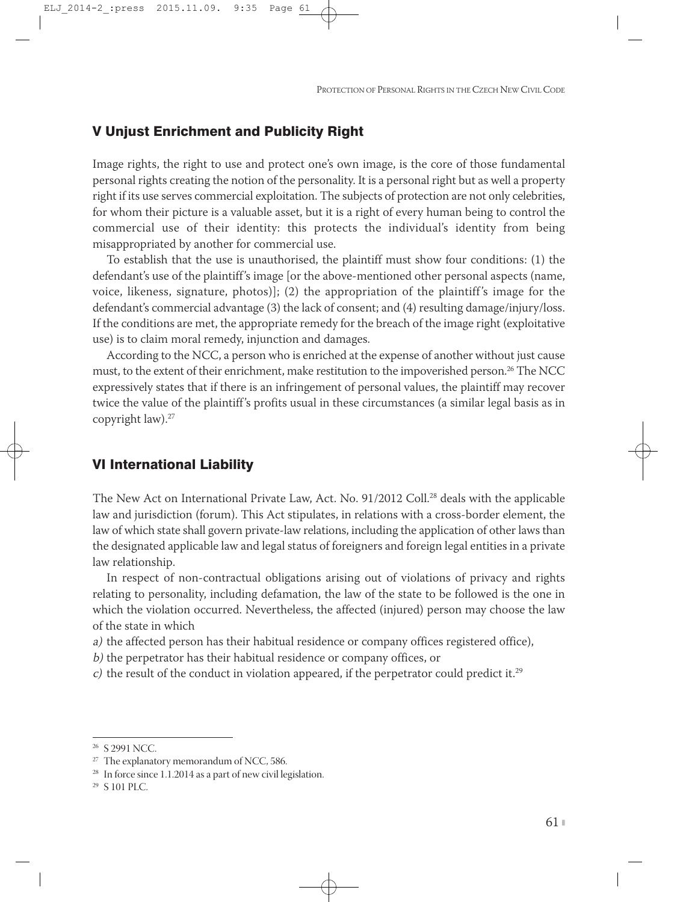#### V Unjust Enrichment and Publicity Right

Image rights, the right to use and protect one's own image, is the core of those fundamental personal rights creating the notion of the personality. It is a personal right but as well a property right if its use serves commercial exploitation. The subjects of protection are not only celebrities, for whom their picture is a valuable asset, but it is a right of every human being to control the commercial use of their identity: this protects the individual's identity from being misappropriated by another for commercial use.

To establish that the use is unauthorised, the plaintiff must show four conditions: (1) the defendant's use of the plaintiff's image [or the above-mentioned other personal aspects (name, voice, likeness, signature, photos)]; (2) the appropriation of the plaintiff's image for the defendant's commercial advantage (3) the lack of consent; and (4) resulting damage/injury/loss. If the conditions are met, the appropriate remedy for the breach of the image right (exploitative use) is to claim moral remedy, injunction and damages.

According to the NCC, a person who is enriched at the expense of another without just cause must, to the extent of their enrichment, make restitution to the impoverished person.<sup>26</sup> The NCC expressively states that if there is an infringement of personal values, the plaintiff may recover twice the value of the plaintiff's profits usual in these circumstances (a similar legal basis as in copyright law).27

## VI International Liability

The New Act on International Private Law, Act. No. 91/2012 Coll.<sup>28</sup> deals with the applicable law and jurisdiction (forum). This Act stipulates, in relations with a cross-border element, the law of which state shall govern private-law relations, including the application of other laws than the designated applicable law and legal status of foreigners and foreign legal entities in a private law relationship.

In respect of non-contractual obligations arising out of violations of privacy and rights relating to personality, including defamation, the law of the state to be followed is the one in which the violation occurred. Nevertheless, the affected (injured) person may choose the law of the state in which

- a) the affected person has their habitual residence or company offices registered office),
- b) the perpetrator has their habitual residence or company offices, or
- c) the result of the conduct in violation appeared, if the perpetrator could predict it.<sup>29</sup>

<sup>26</sup> S 2991 NCC.

<sup>&</sup>lt;sup>27</sup> The explanatory memorandum of NCC, 586.

<sup>&</sup>lt;sup>28</sup> In force since 1.1.2014 as a part of new civil legislation.

<sup>29</sup> S 101 PLC.